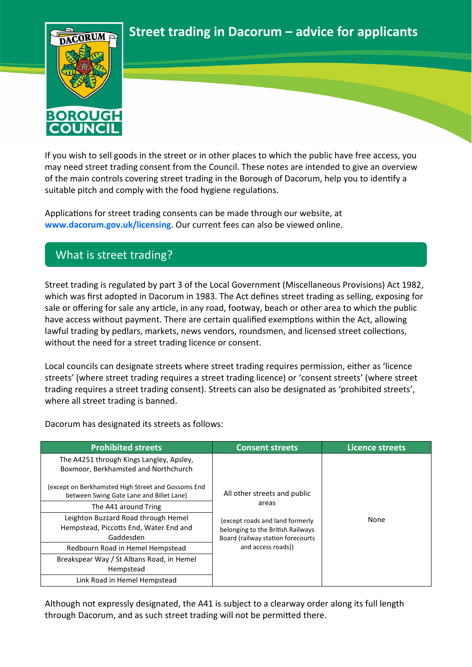**Street trading in Dacorum – advice for applicants**



If you wish to sell goods in the street or in other places to which the public have free access, you may need street trading consent from the Council. These notes are intended to give an overview of the main controls covering street trading in the Borough of Dacorum, help you to identify a suitable pitch and comply with the food hygiene regulations.

Applications for street trading consents can be made through our website, at **[www.dacorum.gov.uk/licensing](http://www.dacorum.gov.uk/licensing)**. Our current fees can also be viewed online.

## What is street trading?

Street trading is regulated by part 3 of the Local Government (Miscellaneous Provisions) Act 1982, which was first adopted in Dacorum in 1983. The Act defines street trading as selling, exposing for sale or offering for sale any article, in any road, footway, beach or other area to which the public have access without payment. There are certain qualified exemptions within the Act, allowing lawful trading by pedlars, markets, news vendors, roundsmen, and licensed street collections, without the need for a street trading licence or consent.

Local councils can designate streets where street trading requires permission, either as 'licence streets' (where street trading requires a street trading licence) or 'consent streets' (where street trading requires a street trading consent). Streets can also be designated as 'prohibited streets', where all street trading is banned.

Dacorum has designated its streets as follows:

| <b>Prohibited streets</b>                                                                      | <b>Consent streets</b>                                                                                                                                                   | <b>Licence streets</b> |
|------------------------------------------------------------------------------------------------|--------------------------------------------------------------------------------------------------------------------------------------------------------------------------|------------------------|
| The A4251 through Kings Langley, Apsley,<br>Boxmoor, Berkhamsted and Northchurch               | All other streets and public<br>areas<br>(except roads and land formerly<br>belonging to the British Railways<br>Board (railway station forecourts<br>and access roads)) |                        |
| (except on Berkhamsted High Street and Gossoms End<br>between Swing Gate Lane and Billet Lane) |                                                                                                                                                                          | None                   |
| The A41 around Tring                                                                           |                                                                                                                                                                          |                        |
| Leighton Buzzard Road through Hemel<br>Hempstead, Piccotts End, Water End and<br>Gaddesden     |                                                                                                                                                                          |                        |
| Redbourn Road in Hemel Hempstead                                                               |                                                                                                                                                                          |                        |
| Breakspear Way / St Albans Road, in Hemel<br>Hempstead                                         |                                                                                                                                                                          |                        |
| Link Road in Hemel Hempstead                                                                   |                                                                                                                                                                          |                        |

Although not expressly designated, the A41 is subject to a clearway order along its full length through Dacorum, and as such street trading will not be permitted there.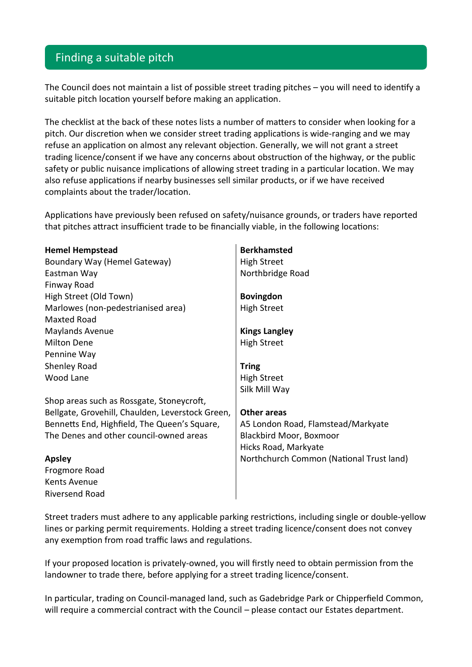## Finding a suitable pitch

The Council does not maintain a list of possible street trading pitches – you will need to identify a suitable pitch location yourself before making an application.

The checklist at the back of these notes lists a number of matters to consider when looking for a pitch. Our discretion when we consider street trading applications is wide-ranging and we may refuse an application on almost any relevant objection. Generally, we will not grant a street trading licence/consent if we have any concerns about obstruction of the highway, or the public safety or public nuisance implications of allowing street trading in a particular location. We may also refuse applications if nearby businesses sell similar products, or if we have received complaints about the trader/location.

Applications have previously been refused on safety/nuisance grounds, or traders have reported that pitches attract insufficient trade to be financially viable, in the following locations:

| <b>Hemel Hempstead</b>                           | <b>Berkhamsted</b>                       |
|--------------------------------------------------|------------------------------------------|
| Boundary Way (Hemel Gateway)                     | <b>High Street</b>                       |
| Eastman Way                                      | Northbridge Road                         |
| Finway Road                                      |                                          |
| High Street (Old Town)                           | <b>Bovingdon</b>                         |
| Marlowes (non-pedestrianised area)               | <b>High Street</b>                       |
| <b>Maxted Road</b>                               |                                          |
| <b>Maylands Avenue</b>                           | <b>Kings Langley</b>                     |
| <b>Milton Dene</b>                               | <b>High Street</b>                       |
| Pennine Way                                      |                                          |
| Shenley Road                                     | <b>Tring</b>                             |
| Wood Lane                                        | <b>High Street</b>                       |
|                                                  | Silk Mill Way                            |
| Shop areas such as Rossgate, Stoneycroft,        |                                          |
| Bellgate, Grovehill, Chaulden, Leverstock Green, | <b>Other areas</b>                       |
| Bennetts End, Highfield, The Queen's Square,     | A5 London Road, Flamstead/Markyate       |
| The Denes and other council-owned areas          | Blackbird Moor, Boxmoor                  |
|                                                  | Hicks Road, Markyate                     |
| <b>Apsley</b>                                    | Northchurch Common (National Trust land) |
| Frogmore Road                                    |                                          |
| Kents Avenue                                     |                                          |
| Riversend Road                                   |                                          |

Street traders must adhere to any applicable parking restrictions, including single or double-yellow lines or parking permit requirements. Holding a street trading licence/consent does not convey any exemption from road traffic laws and regulations.

If your proposed location is privately-owned, you will firstly need to obtain permission from the landowner to trade there, before applying for a street trading licence/consent.

In particular, trading on Council-managed land, such as Gadebridge Park or Chipperfield Common, will require a commercial contract with the Council – please contact our Estates department.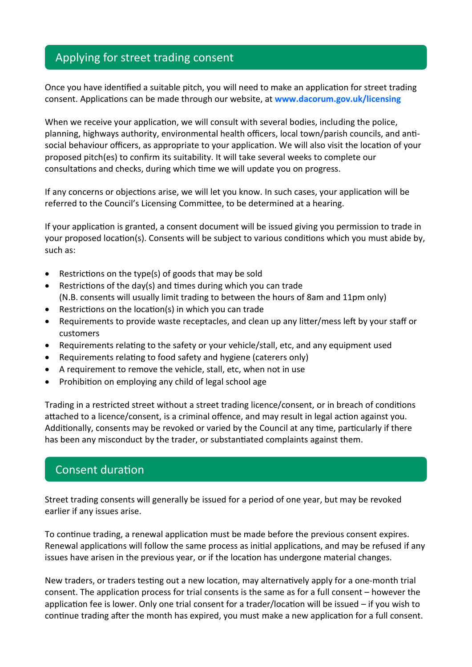# Applying for street trading consent

Once you have identified a suitable pitch, you will need to make an application for street trading consent. Applications can be made through our website, at **[www.dacorum.gov.uk/licensing](http://www.dacorum.gov.uk/licensing)**

When we receive your application, we will consult with several bodies, including the police, planning, highways authority, environmental health officers, local town/parish councils, and antisocial behaviour officers, as appropriate to your application. We will also visit the location of your proposed pitch(es) to confirm its suitability. It will take several weeks to complete our consultations and checks, during which time we will update you on progress.

If any concerns or objections arise, we will let you know. In such cases, your application will be referred to the Council's Licensing Committee, to be determined at a hearing.

If your application is granted, a consent document will be issued giving you permission to trade in your proposed location(s). Consents will be subject to various conditions which you must abide by, such as:

- Restrictions on the type(s) of goods that may be sold
- Restrictions of the day(s) and times during which you can trade (N.B. consents will usually limit trading to between the hours of 8am and 11pm only)
- Restrictions on the location(s) in which you can trade
- Requirements to provide waste receptacles, and clean up any litter/mess left by your staff or customers
- Requirements relating to the safety or your vehicle/stall, etc, and any equipment used
- Requirements relating to food safety and hygiene (caterers only)
- A requirement to remove the vehicle, stall, etc, when not in use
- Prohibition on employing any child of legal school age

Trading in a restricted street without a street trading licence/consent, or in breach of conditions attached to a licence/consent, is a criminal offence, and may result in legal action against you. Additionally, consents may be revoked or varied by the Council at any time, particularly if there has been any misconduct by the trader, or substantiated complaints against them.

### Consent duration

Street trading consents will generally be issued for a period of one year, but may be revoked earlier if any issues arise.

To continue trading, a renewal application must be made before the previous consent expires. Renewal applications will follow the same process as initial applications, and may be refused if any issues have arisen in the previous year, or if the location has undergone material changes.

New traders, or traders testing out a new location, may alternatively apply for a one-month trial consent. The application process for trial consents is the same as for a full consent – however the application fee is lower. Only one trial consent for a trader/location will be issued – if you wish to continue trading after the month has expired, you must make a new application for a full consent.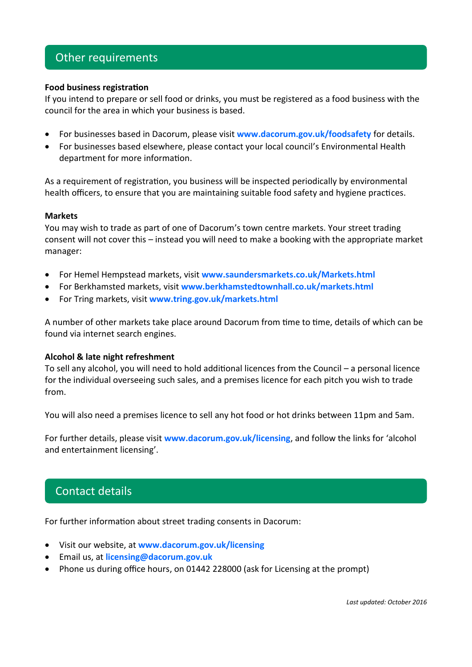## Other requirements

### **Food business registration**

If you intend to prepare or sell food or drinks, you must be registered as a food business with the council for the area in which your business is based.

- For businesses based in Dacorum, please visit **[www.dacorum.gov.uk/foodsafety](http://www.dacorum.gov.uk/foodsafety)** for details.
- For businesses based elsewhere, please contact your local council's Environmental Health department for more information.

As a requirement of registration, you business will be inspected periodically by environmental health officers, to ensure that you are maintaining suitable food safety and hygiene practices.

#### **Markets**

You may wish to trade as part of one of Dacorum's town centre markets. Your street trading consent will not cover this – instead you will need to make a booking with the appropriate market manager:

- For Hemel Hempstead markets, visit **[www.saundersmarkets.co.uk/Markets.html](http://www.saundersmarkets.co.uk/Markets.html)**
- For Berkhamsted markets, visit **[www.berkhamstedtownhall.co.uk/markets.html](http://www.berkhamstedtownhall.co.uk/markets.html)**
- For Tring markets, visit **[www.tring.gov.uk/markets.html](http://www.tring.gov.uk/markets.html)**

A number of other markets take place around Dacorum from time to time, details of which can be found via internet search engines.

### **Alcohol & late night refreshment**

To sell any alcohol, you will need to hold additional licences from the Council – a personal licence for the individual overseeing such sales, and a premises licence for each pitch you wish to trade from.

You will also need a premises licence to sell any hot food or hot drinks between 11pm and 5am.

For further details, please visit **[www.dacorum.gov.uk/licensing](http://www.dacorum.gov.uk/licensing)**, and follow the links for 'alcohol and entertainment licensing'.

### Contact details

For further information about street trading consents in Dacorum:

- Visit our website, at **[www.dacorum.gov.uk/licensing](http://www.dacorum.gov.uk/licensing)**
- Email us, at **[licensing@dacorum.gov.uk](mailto:licensing@dacorum.gov.uk)**
- Phone us during office hours, on 01442 228000 (ask for Licensing at the prompt)